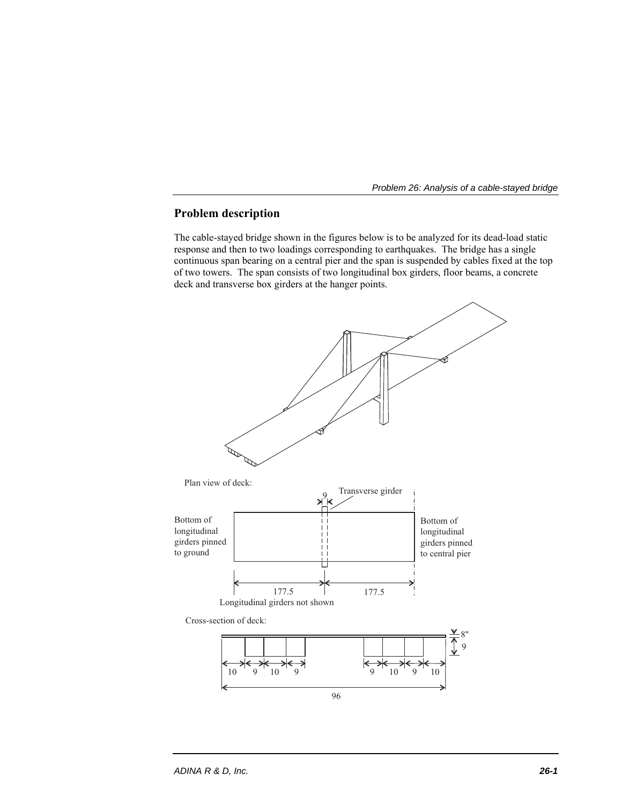

# **Problem description**

The cable-stayed bridge shown in the figures below is to be analyzed for its dead-load static response and then to two loadings corresponding to earthquakes. The bridge has a single continuous span bearing on a central pier and the span is suspended by cables fixed at the top of two towers. The span consists of two longitudinal box girders, floor beams, a concrete deck and transverse box girders at the hanger points.

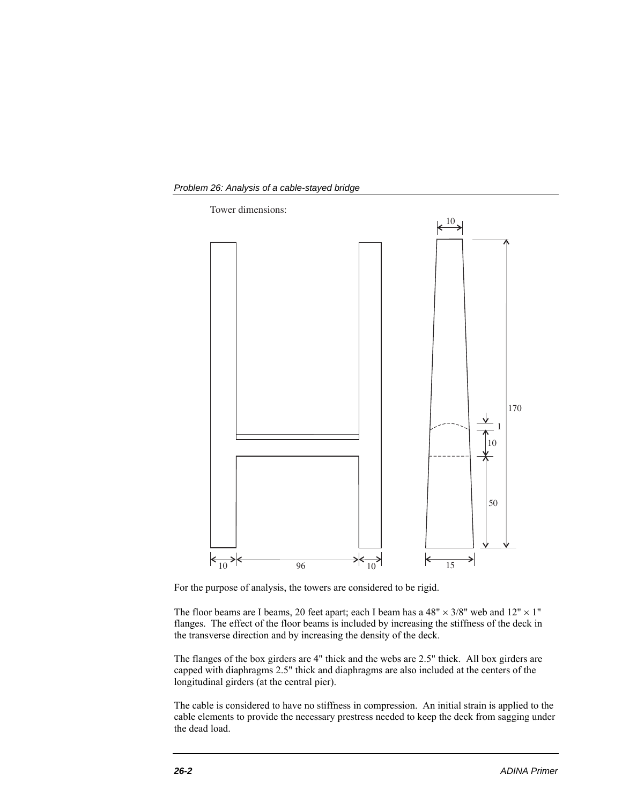



For the purpose of analysis, the towers are considered to be rigid.

The floor beams are I beams, 20 feet apart; each I beam has a 48"  $\times$  3/8" web and 12"  $\times$  1" flanges. The effect of the floor beams is included by increasing the stiffness of the deck in the transverse direction and by increasing the density of the deck.

The flanges of the box girders are 4" thick and the webs are 2.5" thick. All box girders are capped with diaphragms 2.5" thick and diaphragms are also included at the centers of the longitudinal girders (at the central pier).

The cable is considered to have no stiffness in compression. An initial strain is applied to the cable elements to provide the necessary prestress needed to keep the deck from sagging under the dead load.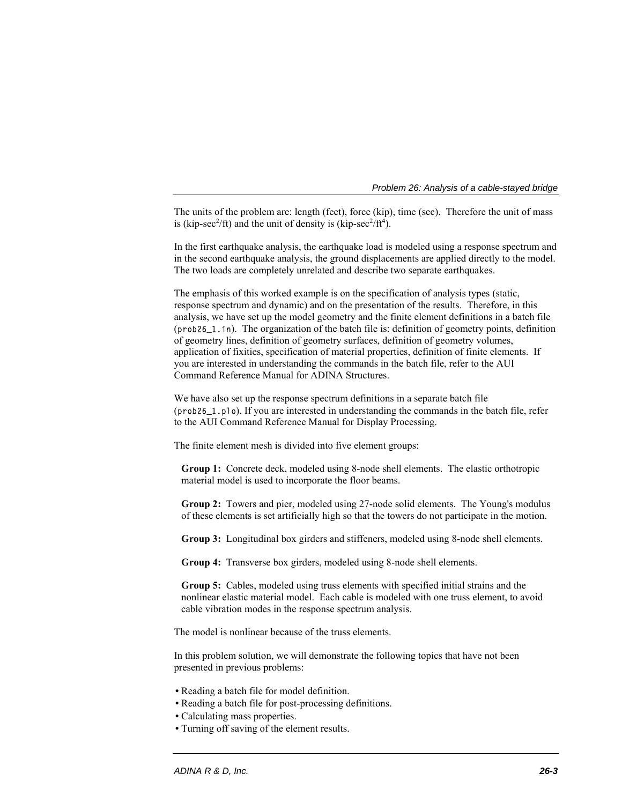The units of the problem are: length (feet), force (kip), time (sec). Therefore the unit of mass is (kip-sec<sup>2</sup>/ft) and the unit of density is (kip-sec<sup>2</sup>/ft<sup>4</sup>).

In the first earthquake analysis, the earthquake load is modeled using a response spectrum and in the second earthquake analysis, the ground displacements are applied directly to the model. The two loads are completely unrelated and describe two separate earthquakes.

The emphasis of this worked example is on the specification of analysis types (static, response spectrum and dynamic) and on the presentation of the results. Therefore, in this analysis, we have set up the model geometry and the finite element definitions in a batch file (prob26\_1.in). The organization of the batch file is: definition of geometry points, definition of geometry lines, definition of geometry surfaces, definition of geometry volumes, application of fixities, specification of material properties, definition of finite elements. If you are interested in understanding the commands in the batch file, refer to the AUI Command Reference Manual for ADINA Structures.

We have also set up the response spectrum definitions in a separate batch file (prob26\_1.plo). If you are interested in understanding the commands in the batch file, refer to the AUI Command Reference Manual for Display Processing.

The finite element mesh is divided into five element groups:

**Group 1:** Concrete deck, modeled using 8-node shell elements. The elastic orthotropic material model is used to incorporate the floor beams.

**Group 2:** Towers and pier, modeled using 27-node solid elements. The Young's modulus of these elements is set artificially high so that the towers do not participate in the motion.

**Group 3:** Longitudinal box girders and stiffeners, modeled using 8-node shell elements.

**Group 4:** Transverse box girders, modeled using 8-node shell elements.

**Group 5:** Cables, modeled using truss elements with specified initial strains and the nonlinear elastic material model. Each cable is modeled with one truss element, to avoid cable vibration modes in the response spectrum analysis.

The model is nonlinear because of the truss elements.

In this problem solution, we will demonstrate the following topics that have not been presented in previous problems:

- Reading a batch file for model definition.
- Reading a batch file for post-processing definitions.
- Calculating mass properties.
- Turning off saving of the element results.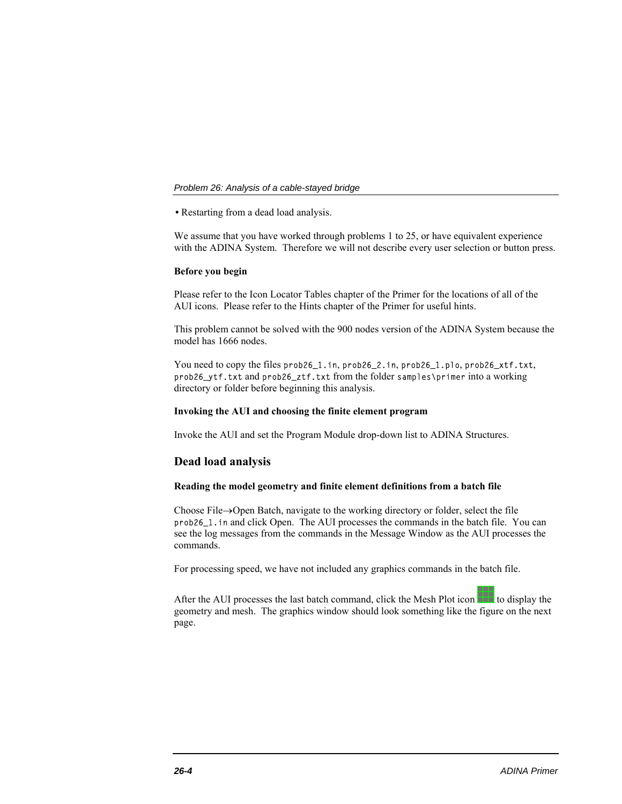• Restarting from a dead load analysis.

We assume that you have worked through problems 1 to 25, or have equivalent experience with the ADINA System. Therefore we will not describe every user selection or button press.

## **Before you begin**

Please refer to the Icon Locator Tables chapter of the Primer for the locations of all of the AUI icons. Please refer to the Hints chapter of the Primer for useful hints.

This problem cannot be solved with the 900 nodes version of the ADINA System because the model has 1666 nodes.

You need to copy the files prob26\_1.in, prob26\_2.in, prob26\_1.plo, prob26\_xtf.txt, prob26\_ytf.txt and prob26\_ztf.txt from the folder samples\primer into a working directory or folder before beginning this analysis.

### **Invoking the AUI and choosing the finite element program**

Invoke the AUI and set the Program Module drop-down list to ADINA Structures.

# **Dead load analysis**

# **Reading the model geometry and finite element definitions from a batch file**

Choose File $\rightarrow$ Open Batch, navigate to the working directory or folder, select the file prob26\_1.in and click Open. The AUI processes the commands in the batch file. You can see the log messages from the commands in the Message Window as the AUI processes the commands.

For processing speed, we have not included any graphics commands in the batch file.

After the AUI processes the last batch command, click the Mesh Plot icon  $\Box$  to display the geometry and mesh. The graphics window should look something like the figure on the next page.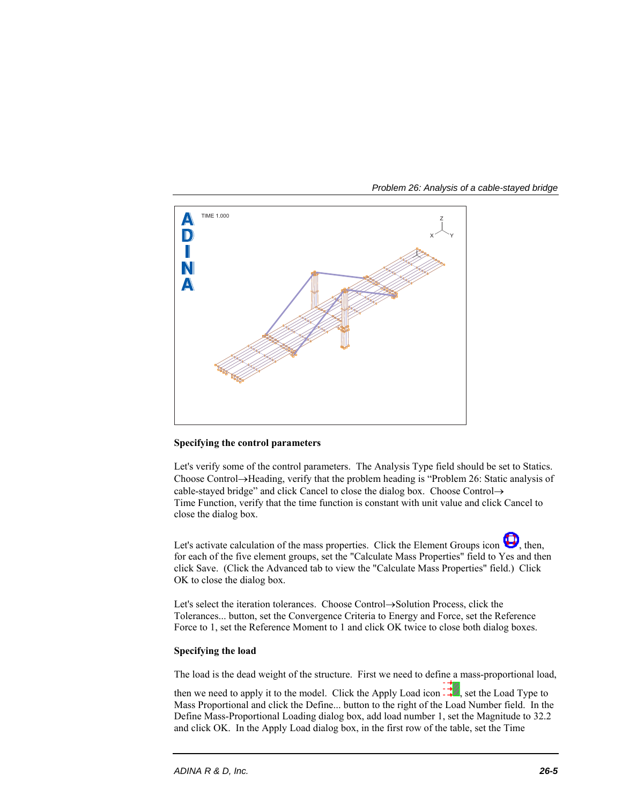



# **Specifying the control parameters**

Let's verify some of the control parameters. The Analysis Type field should be set to Statics. Choose Control $\rightarrow$ Heading, verify that the problem heading is "Problem 26: Static analysis of cable-stayed bridge" and click Cancel to close the dialog box. Choose Control $\rightarrow$ Time Function, verify that the time function is constant with unit value and click Cancel to close the dialog box.

Let's activate calculation of the mass properties. Click the Element Groups icon  $\bigcup$ , then, for each of the five element groups, set the "Calculate Mass Properties" field to Yes and then click Save. (Click the Advanced tab to view the "Calculate Mass Properties" field.) Click OK to close the dialog box.

Let's select the iteration tolerances. Choose Control->Solution Process, click the Tolerances... button, set the Convergence Criteria to Energy and Force, set the Reference Force to 1, set the Reference Moment to 1 and click OK twice to close both dialog boxes.

# **Specifying the load**

The load is the dead weight of the structure. First we need to define a mass-proportional load,

then we need to apply it to the model. Click the Apply Load icon  $\vec{f}$ , set the Load Type to Mass Proportional and click the Define... button to the right of the Load Number field. In the Define Mass-Proportional Loading dialog box, add load number 1, set the Magnitude to 32.2 and click OK. In the Apply Load dialog box, in the first row of the table, set the Time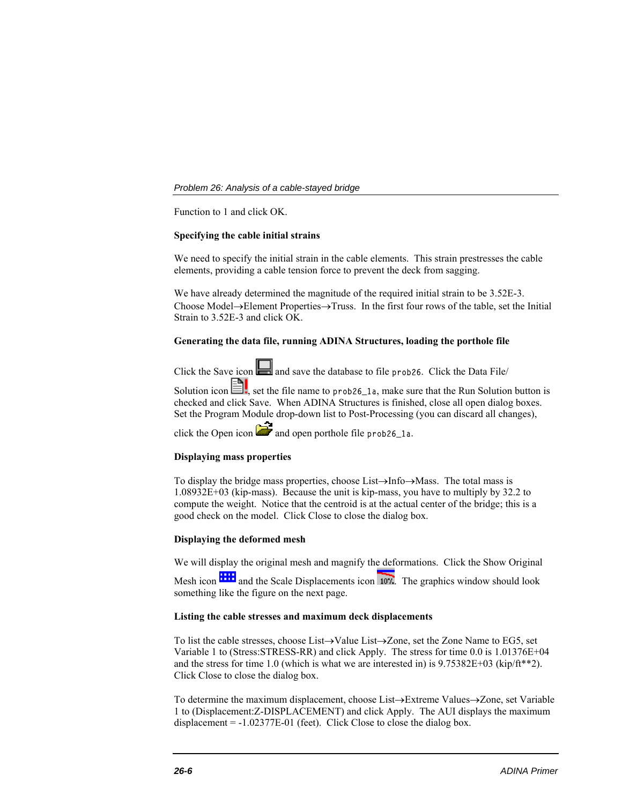Function to 1 and click OK.

# **Specifying the cable initial strains**

We need to specify the initial strain in the cable elements. This strain prestresses the cable elements, providing a cable tension force to prevent the deck from sagging.

We have already determined the magnitude of the required initial strain to be 3.52E-3. Choose Model $\rightarrow$ Element Properties $\rightarrow$ Truss. In the first four rows of the table, set the Initial Strain to 3.52E-3 and click OK.

# **Generating the data file, running ADINA Structures, loading the porthole file**

Click the Save icon  $\Box$  and save the database to file prob26. Click the Data File/

Solution icon  $\Box$ , set the file name to prob26\_1a, make sure that the Run Solution button is checked and click Save. When ADINA Structures is finished, close all open dialog boxes. Set the Program Module drop-down list to Post-Processing (you can discard all changes),

click the Open icon  $\mathbb{Z}^2$  and open porthole file prob26\_1a.

## **Displaying mass properties**

To display the bridge mass properties, choose List $\rightarrow$ Info $\rightarrow$ Mass. The total mass is 1.08932E+03 (kip-mass). Because the unit is kip-mass, you have to multiply by 32.2 to compute the weight. Notice that the centroid is at the actual center of the bridge; this is a good check on the model. Click Close to close the dialog box.

## **Displaying the deformed mesh**

We will display the original mesh and magnify the deformations. Click the Show Original Mesh icon **and the Scale Displacements icon 107.** The graphics window should look something like the figure on the next page.

## **Listing the cable stresses and maximum deck displacements**

To list the cable stresses, choose List $\rightarrow$ Value List $\rightarrow$ Zone, set the Zone Name to EG5, set Variable 1 to (Stress:STRESS-RR) and click Apply. The stress for time 0.0 is 1.01376E+04 and the stress for time 1.0 (which is what we are interested in) is  $9.75382E+03$  (kip/ft\*\*2). Click Close to close the dialog box.

To determine the maximum displacement, choose List $\rightarrow$ Extreme Values $\rightarrow$ Zone, set Variable 1 to (Displacement:Z-DISPLACEMENT) and click Apply. The AUI displays the maximum displacement  $= -1.02377E-01$  (feet). Click Close to close the dialog box.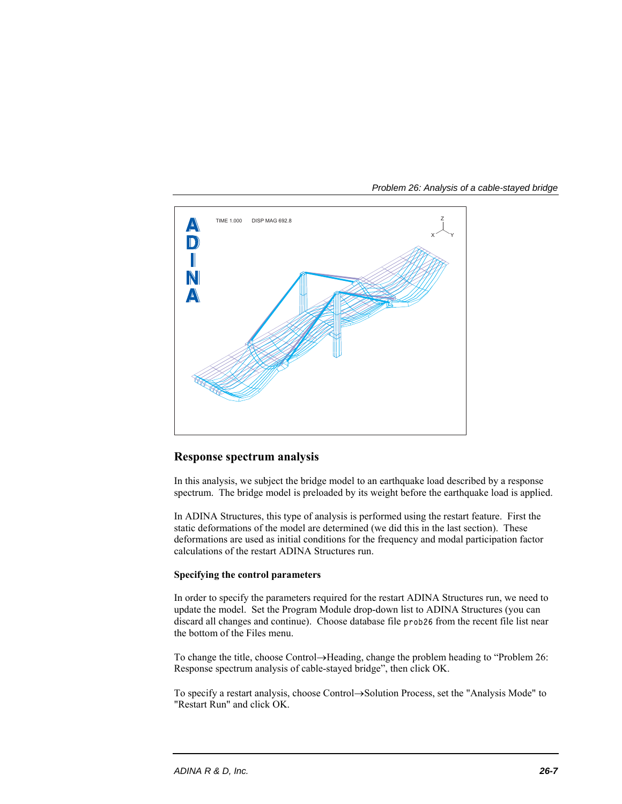

*Problem 26: Analysis of a cable-stayed bridge* 

# **Response spectrum analysis**

In this analysis, we subject the bridge model to an earthquake load described by a response spectrum. The bridge model is preloaded by its weight before the earthquake load is applied.

In ADINA Structures, this type of analysis is performed using the restart feature. First the static deformations of the model are determined (we did this in the last section). These deformations are used as initial conditions for the frequency and modal participation factor calculations of the restart ADINA Structures run.

# **Specifying the control parameters**

In order to specify the parameters required for the restart ADINA Structures run, we need to update the model. Set the Program Module drop-down list to ADINA Structures (you can discard all changes and continue). Choose database file prob26 from the recent file list near the bottom of the Files menu.

To change the title, choose Control-Heading, change the problem heading to "Problem 26: Response spectrum analysis of cable-stayed bridge", then click OK.

To specify a restart analysis, choose Control-Solution Process, set the "Analysis Mode" to "Restart Run" and click OK.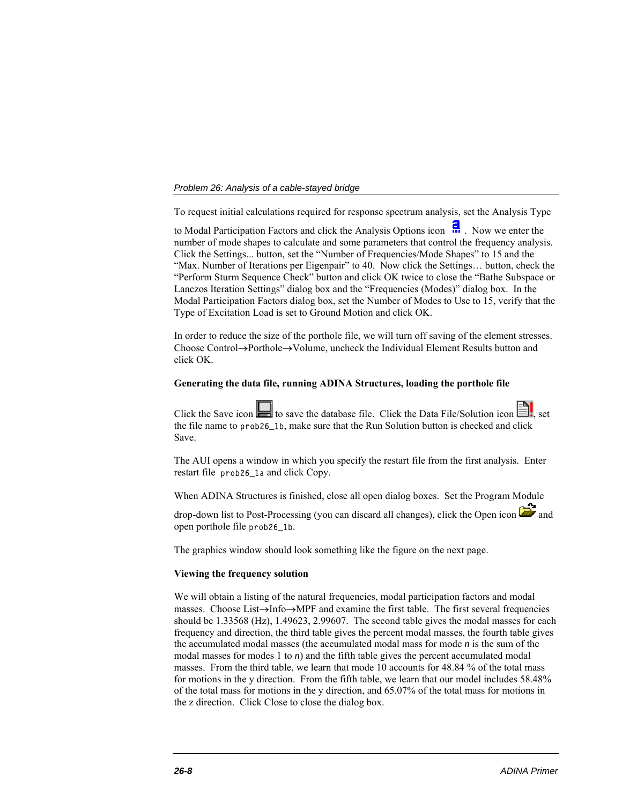To request initial calculations required for response spectrum analysis, set the Analysis Type

to Modal Participation Factors and click the Analysis Options icon ... Now we enter the number of mode shapes to calculate and some parameters that control the frequency analysis. Click the Settings... button, set the "Number of Frequencies/Mode Shapes" to 15 and the "Max. Number of Iterations per Eigenpair" to 40. Now click the Settings… button, check the "Perform Sturm Sequence Check" button and click OK twice to close the "Bathe Subspace or Lanczos Iteration Settings" dialog box and the "Frequencies (Modes)" dialog box. In the Modal Participation Factors dialog box, set the Number of Modes to Use to 15, verify that the Type of Excitation Load is set to Ground Motion and click OK.

In order to reduce the size of the porthole file, we will turn off saving of the element stresses. Choose Control $\rightarrow$ Porthole $\rightarrow$ Volume, uncheck the Individual Element Results button and click OK.

## **Generating the data file, running ADINA Structures, loading the porthole file**

Click the Save icon  $\Box$  to save the database file. Click the Data File/Solution icon the file name to prob26\_1b, make sure that the Run Solution button is checked and click Save.

The AUI opens a window in which you specify the restart file from the first analysis. Enter restart file prob26\_1a and click Copy.

When ADINA Structures is finished, close all open dialog boxes. Set the Program Module

drop-down list to Post-Processing (you can discard all changes), click the Open icon  $\mathbb{Z}$  and open porthole file prob26\_1b.

The graphics window should look something like the figure on the next page.

### **Viewing the frequency solution**

We will obtain a listing of the natural frequencies, modal participation factors and modal masses. Choose List $\rightarrow$ Info $\rightarrow$ MPF and examine the first table. The first several frequencies should be 1.33568 (Hz), 1.49623, 2.99607. The second table gives the modal masses for each frequency and direction, the third table gives the percent modal masses, the fourth table gives the accumulated modal masses (the accumulated modal mass for mode *n* is the sum of the modal masses for modes 1 to  $n$ ) and the fifth table gives the percent accumulated modal masses. From the third table, we learn that mode 10 accounts for 48.84 % of the total mass for motions in the y direction. From the fifth table, we learn that our model includes 58.48% of the total mass for motions in the y direction, and 65.07% of the total mass for motions in the z direction. Click Close to close the dialog box.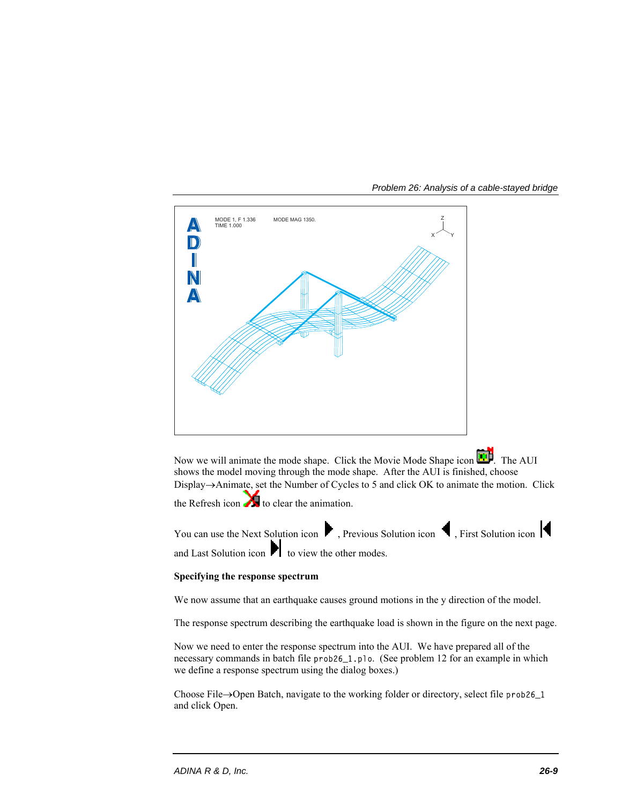

Now we will animate the mode shape. Click the Movie Mode Shape icon  $\mathbf{L}^{\mathbf{L}}$ . The AUI shows the model moving through the mode shape. After the AUI is finished, choose Display->Animate, set the Number of Cycles to 5 and click OK to animate the motion. Click

the Refresh icon  $\bullet$  to clear the animation.

You can use the Next Solution icon  $\blacktriangleright$ , Previous Solution icon  $\blacklozenge$ , First Solution icon  $\blacktriangleright$ 

and Last Solution icon  $\blacksquare$  to view the other modes.

# **Specifying the response spectrum**

We now assume that an earthquake causes ground motions in the y direction of the model.

The response spectrum describing the earthquake load is shown in the figure on the next page.

Now we need to enter the response spectrum into the AUI. We have prepared all of the necessary commands in batch file prob26\_1.plo. (See problem 12 for an example in which we define a response spectrum using the dialog boxes.)

Choose File $\rightarrow$ Open Batch, navigate to the working folder or directory, select file prob26\_1 and click Open.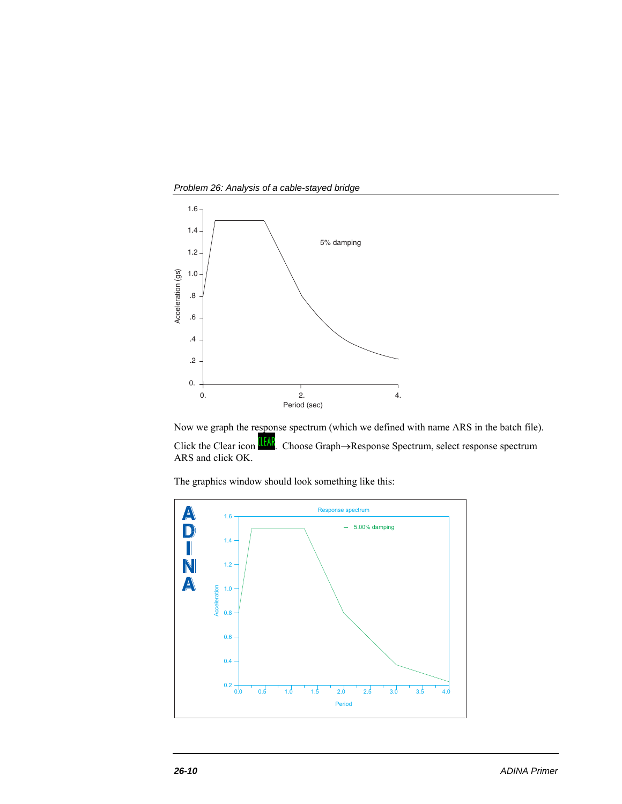*Problem 26: Analysis of a cable-stayed bridge* 



Now we graph the response spectrum (which we defined with name ARS in the batch file). Click the Clear icon **IEAL** Choose Graph->Response Spectrum, select response spectrum ARS and click OK.

The graphics window should look something like this:

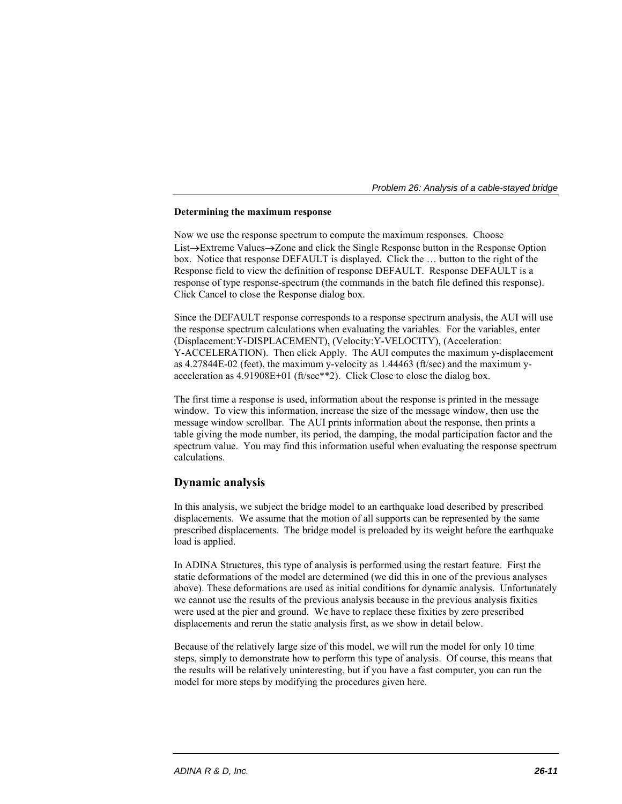## **Determining the maximum response**

Now we use the response spectrum to compute the maximum responses. Choose List $\rightarrow$ Extreme Values $\rightarrow$ Zone and click the Single Response button in the Response Option box. Notice that response DEFAULT is displayed. Click the … button to the right of the Response field to view the definition of response DEFAULT. Response DEFAULT is a response of type response-spectrum (the commands in the batch file defined this response). Click Cancel to close the Response dialog box.

Since the DEFAULT response corresponds to a response spectrum analysis, the AUI will use the response spectrum calculations when evaluating the variables. For the variables, enter (Displacement:Y-DISPLACEMENT), (Velocity:Y-VELOCITY), (Acceleration: Y-ACCELERATION). Then click Apply. The AUI computes the maximum y-displacement as 4.27844E-02 (feet), the maximum y-velocity as 1.44463 (ft/sec) and the maximum yacceleration as 4.91908E+01 (ft/sec\*\*2). Click Close to close the dialog box.

The first time a response is used, information about the response is printed in the message window. To view this information, increase the size of the message window, then use the message window scrollbar. The AUI prints information about the response, then prints a table giving the mode number, its period, the damping, the modal participation factor and the spectrum value. You may find this information useful when evaluating the response spectrum calculations.

# **Dynamic analysis**

In this analysis, we subject the bridge model to an earthquake load described by prescribed displacements. We assume that the motion of all supports can be represented by the same prescribed displacements. The bridge model is preloaded by its weight before the earthquake load is applied.

In ADINA Structures, this type of analysis is performed using the restart feature. First the static deformations of the model are determined (we did this in one of the previous analyses above). These deformations are used as initial conditions for dynamic analysis. Unfortunately we cannot use the results of the previous analysis because in the previous analysis fixities were used at the pier and ground. We have to replace these fixities by zero prescribed displacements and rerun the static analysis first, as we show in detail below.

Because of the relatively large size of this model, we will run the model for only 10 time steps, simply to demonstrate how to perform this type of analysis. Of course, this means that the results will be relatively uninteresting, but if you have a fast computer, you can run the model for more steps by modifying the procedures given here.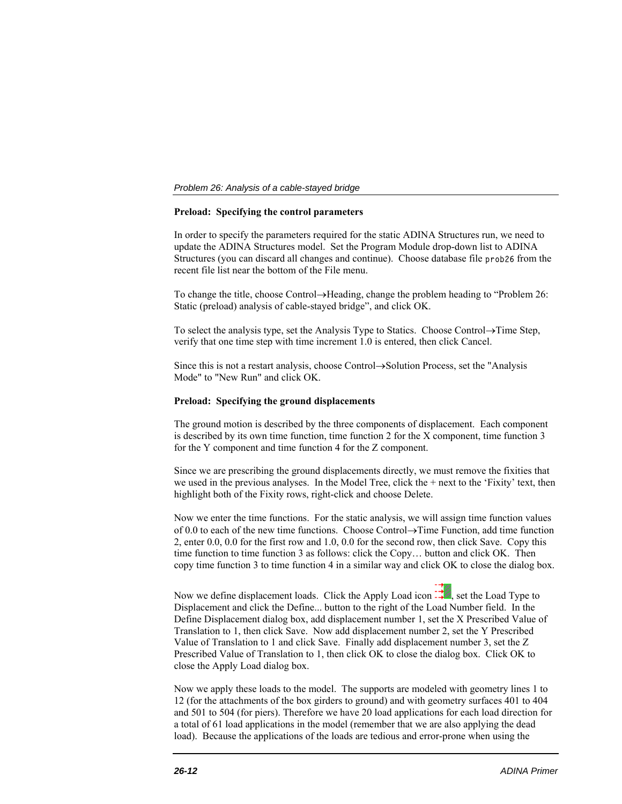# **Preload: Specifying the control parameters**

In order to specify the parameters required for the static ADINA Structures run, we need to update the ADINA Structures model. Set the Program Module drop-down list to ADINA Structures (you can discard all changes and continue). Choose database file prob26 from the recent file list near the bottom of the File menu.

To change the title, choose Control $\rightarrow$ Heading, change the problem heading to "Problem 26: Static (preload) analysis of cable-stayed bridge", and click OK.

To select the analysis type, set the Analysis Type to Statics. Choose Control $\rightarrow$ Time Step, verify that one time step with time increment 1.0 is entered, then click Cancel.

Since this is not a restart analysis, choose Control $\rightarrow$ Solution Process, set the "Analysis" Mode" to "New Run" and click OK.

## **Preload: Specifying the ground displacements**

The ground motion is described by the three components of displacement. Each component is described by its own time function, time function 2 for the X component, time function 3 for the Y component and time function 4 for the Z component.

Since we are prescribing the ground displacements directly, we must remove the fixities that we used in the previous analyses. In the Model Tree, click the  $+$  next to the 'Fixity' text, then highlight both of the Fixity rows, right-click and choose Delete.

Now we enter the time functions. For the static analysis, we will assign time function values of 0.0 to each of the new time functions. Choose Control $\rightarrow$ Time Function, add time function 2, enter 0.0, 0.0 for the first row and 1.0, 0.0 for the second row, then click Save. Copy this time function to time function 3 as follows: click the Copy… button and click OK. Then copy time function 3 to time function 4 in a similar way and click OK to close the dialog box.

Now we define displacement loads. Click the Apply Load icon  $\div$ , set the Load Type to Displacement and click the Define... button to the right of the Load Number field. In the Define Displacement dialog box, add displacement number 1, set the X Prescribed Value of Translation to 1, then click Save. Now add displacement number 2, set the Y Prescribed Value of Translation to 1 and click Save. Finally add displacement number 3, set the Z Prescribed Value of Translation to 1, then click OK to close the dialog box. Click OK to close the Apply Load dialog box.

Now we apply these loads to the model. The supports are modeled with geometry lines 1 to 12 (for the attachments of the box girders to ground) and with geometry surfaces 401 to 404 and 501 to 504 (for piers). Therefore we have 20 load applications for each load direction for a total of 61 load applications in the model (remember that we are also applying the dead load). Because the applications of the loads are tedious and error-prone when using the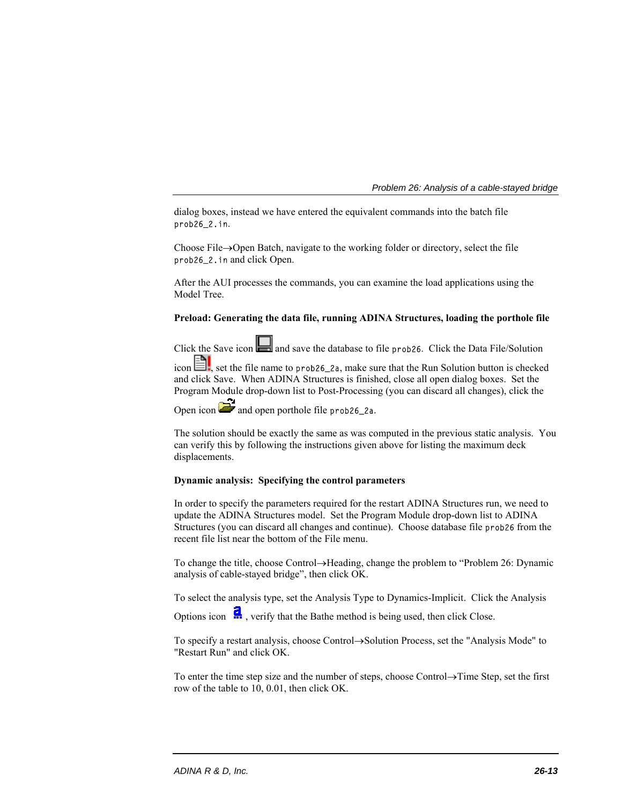dialog boxes, instead we have entered the equivalent commands into the batch file prob26\_2.in.

Choose File $\rightarrow$ Open Batch, navigate to the working folder or directory, select the file prob26\_2.in and click Open.

After the AUI processes the commands, you can examine the load applications using the Model Tree.

# **Preload: Generating the data file, running ADINA Structures, loading the porthole file**

Click the Save icon  $\Box$  and save the database to file prob26. Click the Data File/Solution

icon  $\equiv$ , set the file name to prob26\_2a, make sure that the Run Solution button is checked and click Save. When ADINA Structures is finished, close all open dialog boxes. Set the Program Module drop-down list to Post-Processing (you can discard all changes), click the

Open icon  $\sum$  and open porthole file prob26\_2a.

The solution should be exactly the same as was computed in the previous static analysis. You can verify this by following the instructions given above for listing the maximum deck displacements.

# **Dynamic analysis: Specifying the control parameters**

In order to specify the parameters required for the restart ADINA Structures run, we need to update the ADINA Structures model. Set the Program Module drop-down list to ADINA Structures (you can discard all changes and continue). Choose database file prob26 from the recent file list near the bottom of the File menu.

To change the title, choose Control->Heading, change the problem to "Problem 26: Dynamic analysis of cable-stayed bridge", then click OK.

To select the analysis type, set the Analysis Type to Dynamics-Implicit. Click the Analysis

Options icon  $\ddot{R}$ , verify that the Bathe method is being used, then click Close.

To specify a restart analysis, choose Control->Solution Process, set the "Analysis Mode" to "Restart Run" and click OK.

To enter the time step size and the number of steps, choose Control $\rightarrow$ Time Step, set the first row of the table to 10, 0.01, then click OK.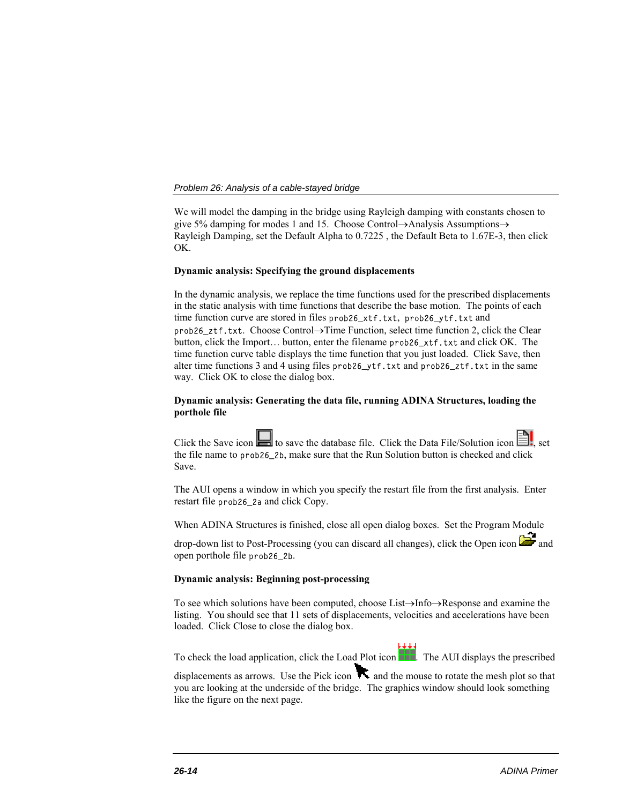We will model the damping in the bridge using Rayleigh damping with constants chosen to give 5% damping for modes 1 and 15. Choose Control $\rightarrow$ Analysis Assumptions $\rightarrow$ Rayleigh Damping, set the Default Alpha to 0.7225 , the Default Beta to 1.67E-3, then click OK.

# **Dynamic analysis: Specifying the ground displacements**

In the dynamic analysis, we replace the time functions used for the prescribed displacements in the static analysis with time functions that describe the base motion. The points of each time function curve are stored in files prob26\_xtf.txt, prob26\_ytf.txt and  $prob26\_ztf.txt.$  Choose Control $\rightarrow$ Time Function, select time function 2, click the Clear button, click the Import... button, enter the filename prob26\_xtf.txt and click OK. The time function curve table displays the time function that you just loaded. Click Save, then alter time functions 3 and 4 using files prob26\_ytf.txt and prob26\_ztf.txt in the same way. Click OK to close the dialog box.

# **Dynamic analysis: Generating the data file, running ADINA Structures, loading the porthole file**

Click the Save icon  $\Box$  to save the database file. Click the Data File/Solution icon  $\Box$ the file name to prob26\_2b, make sure that the Run Solution button is checked and click Save.

The AUI opens a window in which you specify the restart file from the first analysis. Enter restart file prob26\_2a and click Copy.

When ADINA Structures is finished, close all open dialog boxes. Set the Program Module

drop-down list to Post-Processing (you can discard all changes), click the Open icon  $\mathbb{Z}$  and open porthole file prob26\_2b.

## **Dynamic analysis: Beginning post-processing**

To see which solutions have been computed, choose  $List\rightarrow Into \rightarrow Resp$  and examine the listing. You should see that 11 sets of displacements, velocities and accelerations have been loaded. Click Close to close the dialog box.

To check the load application, click the Load Plot icon . The AUI displays the prescribed

displacements as arrows. Use the Pick icon  $\blacktriangledown$  and the mouse to rotate the mesh plot so that you are looking at the underside of the bridge. The graphics window should look something like the figure on the next page.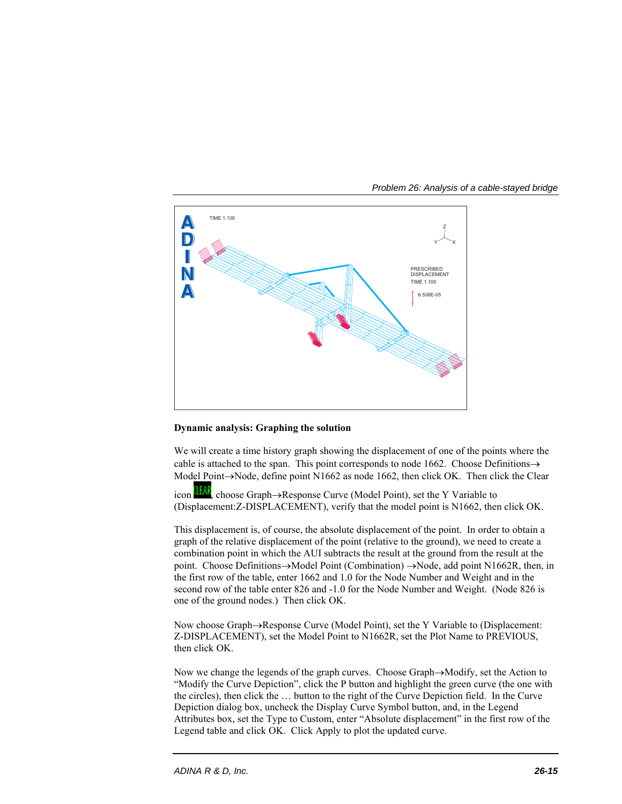

*Problem 26: Analysis of a cable-stayed bridge* 

# **Dynamic analysis: Graphing the solution**

We will create a time history graph showing the displacement of one of the points where the cable is attached to the span. This point corresponds to node 1662. Choose Definitions $\rightarrow$ Model Point $\rightarrow$ Node, define point N1662 as node 1662, then click OK. Then click the Clear

icon  $\frac{1}{\sqrt{2}}$ , choose Graph $\rightarrow$ Response Curve (Model Point), set the Y Variable to (Displacement:Z-DISPLACEMENT), verify that the model point is N1662, then click OK.

This displacement is, of course, the absolute displacement of the point. In order to obtain a graph of the relative displacement of the point (relative to the ground), we need to create a combination point in which the AUI subtracts the result at the ground from the result at the point. Choose Definitions $\rightarrow$ Model Point (Combination) $\rightarrow$ Node, add point N1662R, then, in the first row of the table, enter 1662 and 1.0 for the Node Number and Weight and in the second row of the table enter 826 and -1.0 for the Node Number and Weight. (Node 826 is one of the ground nodes.) Then click OK.

Now choose Graph->Response Curve (Model Point), set the Y Variable to (Displacement: Z-DISPLACEMENT), set the Model Point to N1662R, set the Plot Name to PREVIOUS, then click OK.

Now we change the legends of the graph curves. Choose Graph $\rightarrow$ Modify, set the Action to "Modify the Curve Depiction", click the P button and highlight the green curve (the one with the circles), then click the … button to the right of the Curve Depiction field. In the Curve Depiction dialog box, uncheck the Display Curve Symbol button, and, in the Legend Attributes box, set the Type to Custom, enter "Absolute displacement" in the first row of the Legend table and click OK. Click Apply to plot the updated curve.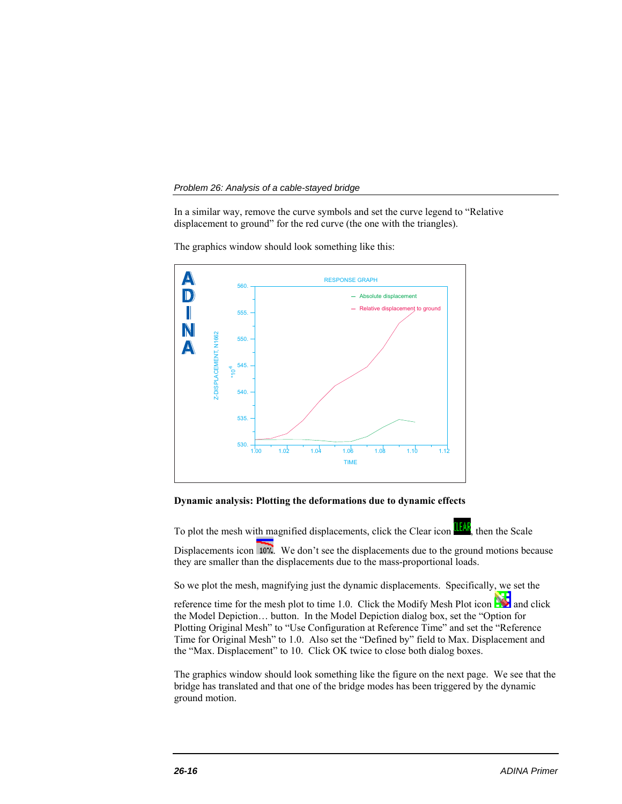In a similar way, remove the curve symbols and set the curve legend to "Relative displacement to ground" for the red curve (the one with the triangles).



The graphics window should look something like this:

## **Dynamic analysis: Plotting the deformations due to dynamic effects**

To plot the mesh with magnified displacements, click the Clear icon **Half**, then the Scale

Displacements icon 107. We don't see the displacements due to the ground motions because they are smaller than the displacements due to the mass-proportional loads.

So we plot the mesh, magnifying just the dynamic displacements. Specifically, we set the

reference time for the mesh plot to time 1.0. Click the Modify Mesh Plot icon  $\mathbb{R}$  and click the Model Depiction… button. In the Model Depiction dialog box, set the "Option for Plotting Original Mesh" to "Use Configuration at Reference Time" and set the "Reference Time for Original Mesh" to 1.0. Also set the "Defined by" field to Max. Displacement and the "Max. Displacement" to 10. Click OK twice to close both dialog boxes.

The graphics window should look something like the figure on the next page. We see that the bridge has translated and that one of the bridge modes has been triggered by the dynamic ground motion.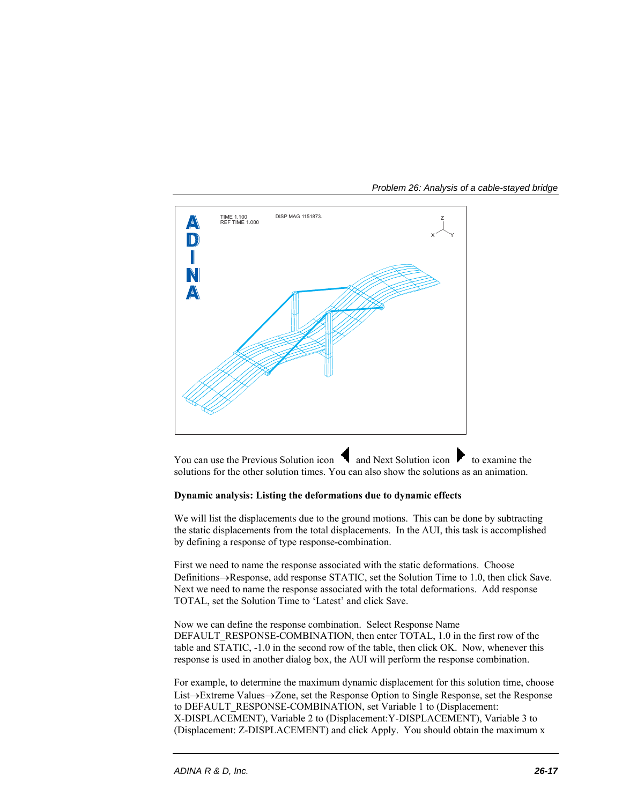

*Problem 26: Analysis of a cable-stayed bridge* 

You can use the Previous Solution icon  $\blacksquare$  and Next Solution icon  $\blacksquare$  to examine the solutions for the other solution times. You can also show the solutions as an animation.

# **Dynamic analysis: Listing the deformations due to dynamic effects**

We will list the displacements due to the ground motions. This can be done by subtracting the static displacements from the total displacements. In the AUI, this task is accomplished by defining a response of type response-combination.

First we need to name the response associated with the static deformations. Choose Definitions $\rightarrow$ Response, add response STATIC, set the Solution Time to 1.0, then click Save. Next we need to name the response associated with the total deformations. Add response TOTAL, set the Solution Time to 'Latest' and click Save.

Now we can define the response combination. Select Response Name DEFAULT\_RESPONSE-COMBINATION, then enter TOTAL, 1.0 in the first row of the table and STATIC, -1.0 in the second row of the table, then click OK. Now, whenever this response is used in another dialog box, the AUI will perform the response combination.

For example, to determine the maximum dynamic displacement for this solution time, choose List→Extreme Values→Zone, set the Response Option to Single Response, set the Response to DEFAULT\_RESPONSE-COMBINATION, set Variable 1 to (Displacement: X-DISPLACEMENT), Variable 2 to (Displacement:Y-DISPLACEMENT), Variable 3 to (Displacement: Z-DISPLACEMENT) and click Apply. You should obtain the maximum x